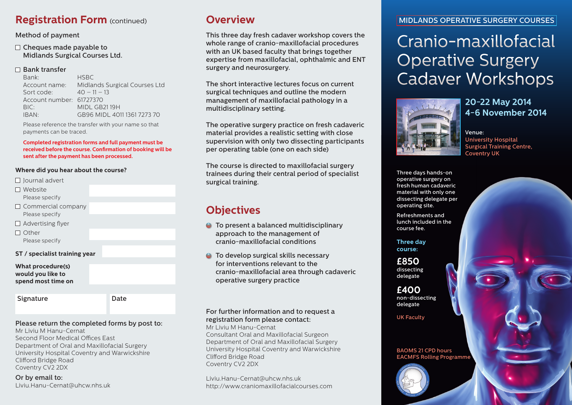## **Registration Form** (continued) **Overview**

### Method of payment

### $\Box$  Cheques made payable to Midlands Surgical Courses Ltd.

### $\Box$  Bank transfer

Bank: HSBC Account name: Midlands Surgical Courses Ltd Sort code:  $40 - 11 - 13$ Account number: 61727370 BIC: MIDL GB21 19H IBAN: GB96 MIDL 4011 1361 7273 70

Please reference the transfer with your name so that payments can be traced.

**Completed registration forms and full payment must be received before the course. Confirmation of booking will be sent after the payment has been processed.**

### **Where did you hear about the course?**

- $\Box$  lournal advert
- Website Please specify
- $\Box$  Commercial company Please specify
- $\Box$  Advertising flyer
- $\Box$  Other

Please specify

#### **ST / specialist training year**

#### **What procedure(s) would you like to spend most time on**

Signature Date

### Please return the completed forms by post to:

Mr Liviu M Hanu-Cernat Second Floor Medical Offices East Department of Oral and Maxillofacial Surgery University Hospital Coventry and Warwickshire Clifford Bridge Road Coventry CV2 2DX

Or by email to: Liviu.Hanu-Cernat@uhcw.nhs.uk

This three day fresh cadaver workshop covers the whole range of cranio-maxillofacial procedures with an UK based faculty that brings together expertise from maxillofacial, ophthalmic and ENT surgery and neurosurgery.

The short interactive lectures focus on current surgical techniques and outline the modern management of maxillofacial pathology in a multidisciplinary setting.

The operative surgery practice on fresh cadaveric material provides a realistic setting with close supervision with only two dissecting participants per operating table (one on each side)

The course is directed to maxillofacial surgery trainees during their central period of specialist surgical training.

## **Objectives**

- **●** To present a balanced multidisciplinary approach to the management of cranio-maxillofacial conditions
- To develop surgical skills necessary for interventions relevant to the cranio-maxillofacial area through cadaveric operative surgery practice

## For further information and to request a registration form please contact:

Mr Liviu M Hanu-Cernat Consultant Oral and Maxillofacial Surgeon Department of Oral and Maxillofacial Surgery University Hospital Coventry and Warwickshire Clifford Bridge Road Coventry CV2 2DX

Liviu.Hanu-Cernat@uhcw.nhs.uk http://www.craniomaxillofacialcourses.com

## Midlands Operative Surgery Courses

# Cranio-maxillofacial Operative Surgery Cadaver Workshops



**20-22 May 2014 4-6 November 2014**

#### Venue: University Hospital Surgical Training Centre, Coventry UK

Three days hands-on operative surgery on fresh human cadaveric material with only one dissecting delegate per operating site.

Refreshments and lunch included in the course fee.

#### **Three day course:**

**£850** dissecting delegate

**£400**  non-dissecting delegate

### UK Faculty

#### BAOMS 21 CPD hours EACMFS Rolling Programme